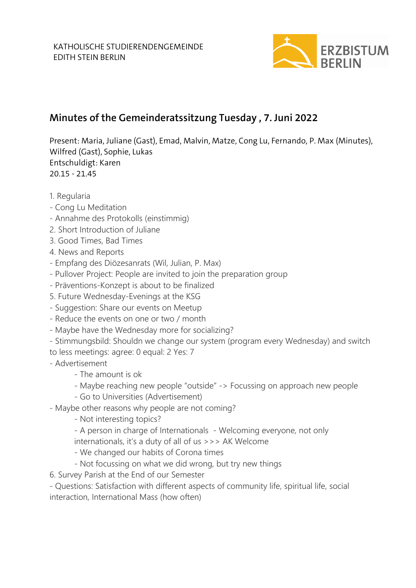

## **Minutes of the Gemeinderatssitzung Tuesday , 7. Juni 2022**

Present: Maria, Juliane (Gast), Emad, Malvin, Matze, Cong Lu, Fernando, P. Max (Minutes), Wilfred (Gast), Sophie, Lukas Entschuldigt: Karen 20.15 - 21.45

- 1. Regularia
- Cong Lu Meditation
- Annahme des Protokolls (einstimmig)
- 2. Short Introduction of Juliane
- 3. Good Times, Bad Times
- 4. News and Reports
- Empfang des Diözesanrats (Wil, Julian, P. Max)
- Pullover Project: People are invited to join the preparation group
- Präventions-Konzept is about to be finalized
- 5. Future Wednesday-Evenings at the KSG
- Suggestion: Share our events on Meetup
- Reduce the events on one or two / month
- Maybe have the Wednesday more for socializing?
- Stimmungsbild: Shouldn we change our system (program every Wednesday) and switch
- to less meetings: agree: 0 equal: 2 Yes: 7
- Advertisement
	- The amount is ok
	- Maybe reaching new people "outside" -> Focussing on approach new people
	- Go to Universities (Advertisement)
- Maybe other reasons why people are not coming?
	- Not interesting topics?
	- A person in charge of Internationals Welcoming everyone, not only
	- internationals, it's a duty of all of us >>> AK Welcome
	- We changed our habits of Corona times
	- Not focussing on what we did wrong, but try new things
- 6. Survey Parish at the End of our Semester

- Questions: Satisfaction with different aspects of community life, spiritual life, social interaction, International Mass (how often)